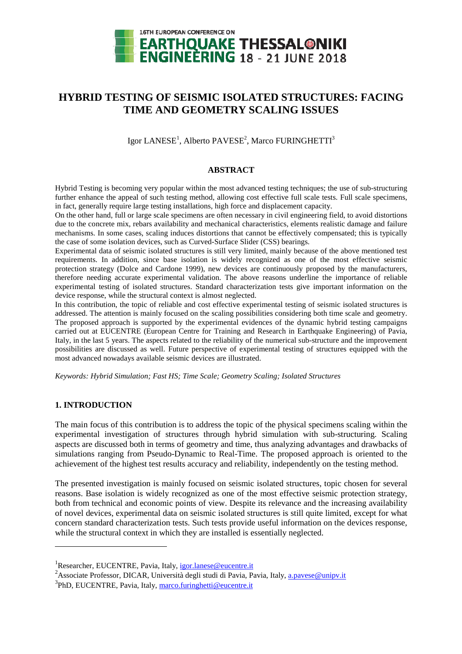

# **HYBRID TESTING OF SEISMIC ISOLATED STRUCTURES: FACING TIME AND GEOMETRY SCALING ISSUES**

Igor LANESE $^{\rm l}$ , Alberto PAVESE $^{\rm 2}$ , Marco FURINGHETTI $^{\rm 3}$ 

### **ABSTRACT**

Hybrid Testing is becoming very popular within the most advanced testing techniques; the use of sub-structuring further enhance the appeal of such testing method, allowing cost effective full scale tests. Full scale specimens, in fact, generally require large testing installations, high force and displacement capacity.

On the other hand, full or large scale specimens are often necessary in civil engineering field, to avoid distortions due to the concrete mix, rebars availability and mechanical characteristics, elements realistic damage and failure mechanisms. In some cases, scaling induces distortions that cannot be effectively compensated; this is typically the case of some isolation devices, such as Curved-Surface Slider (CSS) bearings.

Experimental data of seismic isolated structures is still very limited, mainly because of the above mentioned test requirements. In addition, since base isolation is widely recognized as one of the most effective seismic protection strategy (Dolce and Cardone 1999), new devices are continuously proposed by the manufacturers, therefore needing accurate experimental validation. The above reasons underline the importance of reliable experimental testing of isolated structures. Standard characterization tests give important information on the device response, while the structural context is almost neglected.

In this contribution, the topic of reliable and cost effective experimental testing of seismic isolated structures is addressed. The attention is mainly focused on the scaling possibilities considering both time scale and geometry. The proposed approach is supported by the experimental evidences of the dynamic hybrid testing campaigns carried out at EUCENTRE (European Centre for Training and Research in Earthquake Engineering) of Pavia, Italy, in the last 5 years. The aspects related to the reliability of the numerical sub-structure and the improvement possibilities are discussed as well. Future perspective of experimental testing of structures equipped with the most advanced nowadays available seismic devices are illustrated.

*Keywords: Hybrid Simulation; Fast HS; Time Scale; Geometry Scaling; Isolated Structures* 

### **1. INTRODUCTION**

 $\overline{a}$ 

The main focus of this contribution is to address the topic of the physical specimens scaling within the experimental investigation of structures through hybrid simulation with sub-structuring. Scaling aspects are discussed both in terms of geometry and time, thus analyzing advantages and drawbacks of simulations ranging from Pseudo-Dynamic to Real-Time. The proposed approach is oriented to the achievement of the highest test results accuracy and reliability, independently on the testing method.

The presented investigation is mainly focused on seismic isolated structures, topic chosen for several reasons. Base isolation is widely recognized as one of the most effective seismic protection strategy, both from technical and economic points of view. Despite its relevance and the increasing availability of novel devices, experimental data on seismic isolated structures is still quite limited, except for what concern standard characterization tests. Such tests provide useful information on the devices response, while the structural context in which they are installed is essentially neglected.

<sup>&</sup>lt;sup>1</sup>Researcher, EUCENTRE, Pavia, Italy, igor.lanese@eucentre.it

<sup>&</sup>lt;sup>2</sup> Associate Professor, DICAR, Università degli studi di Pavia, Pavia, Italy, *a.pavese@unipv.it* 

<sup>&</sup>lt;sup>3</sup>PhD, EUCENTRE, Pavia, Italy, marco.furinghetti@eucentre.it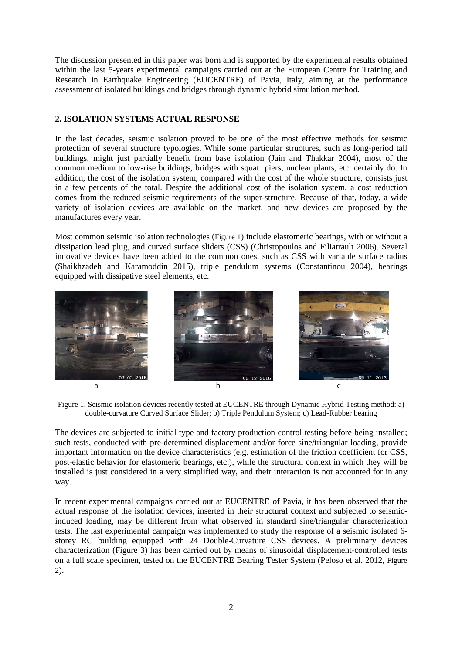The discussion presented in this paper was born and is supported by the experimental results obtained within the last 5-years experimental campaigns carried out at the European Centre for Training and Research in Earthquake Engineering (EUCENTRE) of Pavia, Italy, aiming at the performance assessment of isolated buildings and bridges through dynamic hybrid simulation method.

# **2. ISOLATION SYSTEMS ACTUAL RESPONSE**

In the last decades, seismic isolation proved to be one of the most effective methods for seismic protection of several structure typologies. While some particular structures, such as long-period tall buildings, might just partially benefit from base isolation (Jain and Thakkar 2004), most of the common medium to low-rise buildings, bridges with squat piers, nuclear plants, etc. certainly do. In addition, the cost of the isolation system, compared with the cost of the whole structure, consists just in a few percents of the total. Despite the additional cost of the isolation system, a cost reduction comes from the reduced seismic requirements of the super-structure. Because of that, today, a wide variety of isolation devices are available on the market, and new devices are proposed by the manufactures every year.

Most common seismic isolation technologies (Figure 1) include elastomeric bearings, with or without a dissipation lead plug, and curved surface sliders (CSS) (Christopoulos and Filiatrault 2006). Several innovative devices have been added to the common ones, such as CSS with variable surface radius (Shaikhzadeh and Karamoddin 2015), triple pendulum systems (Constantinou 2004), bearings equipped with dissipative steel elements, etc.



Figure 1. Seismic isolation devices recently tested at EUCENTRE through Dynamic Hybrid Testing method: a) double-curvature Curved Surface Slider; b) Triple Pendulum System; c) Lead-Rubber bearing

The devices are subjected to initial type and factory production control testing before being installed; such tests, conducted with pre-determined displacement and/or force sine/triangular loading, provide important information on the device characteristics (e.g. estimation of the friction coefficient for CSS, post-elastic behavior for elastomeric bearings, etc.), while the structural context in which they will be installed is just considered in a very simplified way, and their interaction is not accounted for in any way.

In recent experimental campaigns carried out at EUCENTRE of Pavia, it has been observed that the actual response of the isolation devices, inserted in their structural context and subjected to seismicinduced loading, may be different from what observed in standard sine/triangular characterization tests. The last experimental campaign was implemented to study the response of a seismic isolated 6 storey RC building equipped with 24 Double-Curvature CSS devices. A preliminary devices characterization (Figure 3) has been carried out by means of sinusoidal displacement-controlled tests on a full scale specimen, tested on the EUCENTRE Bearing Tester System (Peloso et al. 2012, Figure 2).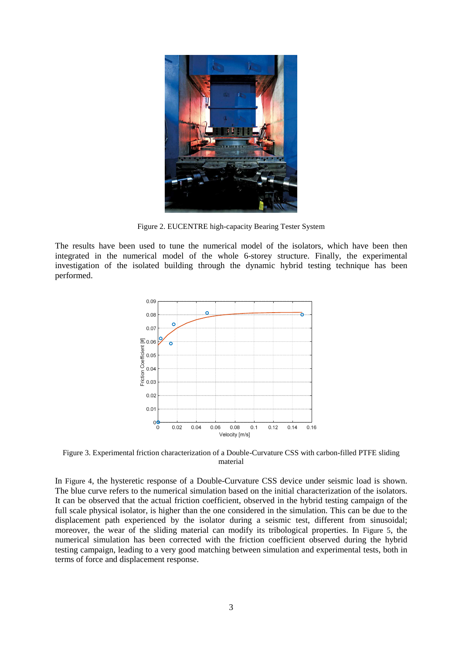

Figure 2. EUCENTRE high-capacity Bearing Tester System

The results have been used to tune the numerical model of the isolators, which have been then integrated in the numerical model of the whole 6-storey structure. Finally, the experimental investigation of the isolated building through the dynamic hybrid testing technique has been performed.



Figure 3. Experimental friction characterization of a Double-Curvature CSS with carbon-filled PTFE sliding material

In Figure 4, the hysteretic response of a Double-Curvature CSS device under seismic load is shown. The blue curve refers to the numerical simulation based on the initial characterization of the isolators. It can be observed that the actual friction coefficient, observed in the hybrid testing campaign of the full scale physical isolator, is higher than the one considered in the simulation. This can be due to the displacement path experienced by the isolator during a seismic test, different from sinusoidal; moreover, the wear of the sliding material can modify its tribological properties. In Figure 5, the numerical simulation has been corrected with the friction coefficient observed during the hybrid testing campaign, leading to a very good matching between simulation and experimental tests, both in terms of force and displacement response.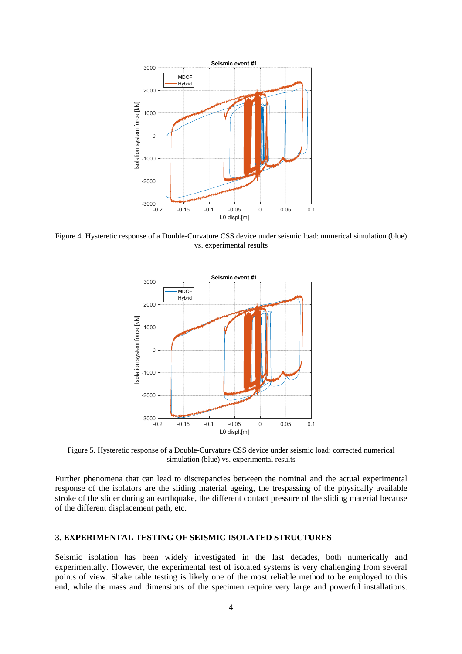

Figure 4. Hysteretic response of a Double-Curvature CSS device under seismic load: numerical simulation (blue) vs. experimental results



Figure 5. Hysteretic response of a Double-Curvature CSS device under seismic load: corrected numerical simulation (blue) vs. experimental results

Further phenomena that can lead to discrepancies between the nominal and the actual experimental response of the isolators are the sliding material ageing, the trespassing of the physically available stroke of the slider during an earthquake, the different contact pressure of the sliding material because of the different displacement path, etc.

### **3. EXPERIMENTAL TESTING OF SEISMIC ISOLATED STRUCTURES**

Seismic isolation has been widely investigated in the last decades, both numerically and experimentally. However, the experimental test of isolated systems is very challenging from several points of view. Shake table testing is likely one of the most reliable method to be employed to this end, while the mass and dimensions of the specimen require very large and powerful installations.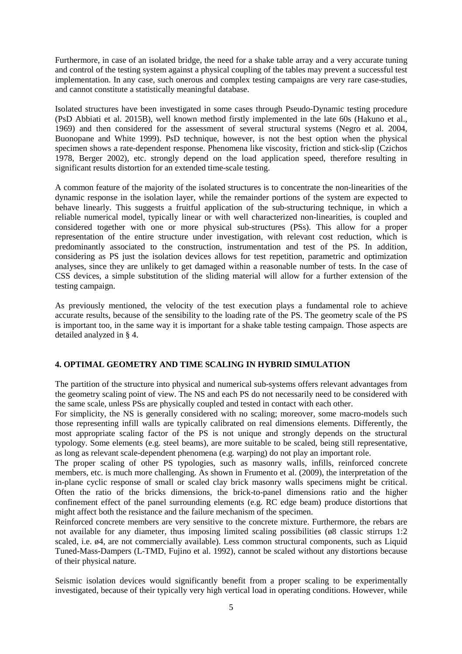Furthermore, in case of an isolated bridge, the need for a shake table array and a very accurate tuning and control of the testing system against a physical coupling of the tables may prevent a successful test implementation. In any case, such onerous and complex testing campaigns are very rare case-studies, and cannot constitute a statistically meaningful database.

Isolated structures have been investigated in some cases through Pseudo-Dynamic testing procedure (PsD Abbiati et al. 2015B), well known method firstly implemented in the late 60s (Hakuno et al., 1969) and then considered for the assessment of several structural systems (Negro et al. 2004, Buonopane and White 1999). PsD technique, however, is not the best option when the physical specimen shows a rate-dependent response. Phenomena like viscosity, friction and stick-slip (Czichos 1978, Berger 2002), etc. strongly depend on the load application speed, therefore resulting in significant results distortion for an extended time-scale testing.

A common feature of the majority of the isolated structures is to concentrate the non-linearities of the dynamic response in the isolation layer, while the remainder portions of the system are expected to behave linearly. This suggests a fruitful application of the sub-structuring technique, in which a reliable numerical model, typically linear or with well characterized non-linearities, is coupled and considered together with one or more physical sub-structures (PSs). This allow for a proper representation of the entire structure under investigation, with relevant cost reduction, which is predominantly associated to the construction, instrumentation and test of the PS. In addition, considering as PS just the isolation devices allows for test repetition, parametric and optimization analyses, since they are unlikely to get damaged within a reasonable number of tests. In the case of CSS devices, a simple substitution of the sliding material will allow for a further extension of the testing campaign.

As previously mentioned, the velocity of the test execution plays a fundamental role to achieve accurate results, because of the sensibility to the loading rate of the PS. The geometry scale of the PS is important too, in the same way it is important for a shake table testing campaign. Those aspects are detailed analyzed in § 4.

# **4. OPTIMAL GEOMETRY AND TIME SCALING IN HYBRID SIMULATION**

The partition of the structure into physical and numerical sub-systems offers relevant advantages from the geometry scaling point of view. The NS and each PS do not necessarily need to be considered with the same scale, unless PSs are physically coupled and tested in contact with each other.

For simplicity, the NS is generally considered with no scaling; moreover, some macro-models such those representing infill walls are typically calibrated on real dimensions elements. Differently, the most appropriate scaling factor of the PS is not unique and strongly depends on the structural typology. Some elements (e.g. steel beams), are more suitable to be scaled, being still representative, as long as relevant scale-dependent phenomena (e.g. warping) do not play an important role.

The proper scaling of other PS typologies, such as masonry walls, infills, reinforced concrete members, etc. is much more challenging. As shown in Frumento et al. (2009), the interpretation of the in-plane cyclic response of small or scaled clay brick masonry walls specimens might be critical. Often the ratio of the bricks dimensions, the brick-to-panel dimensions ratio and the higher confinement effect of the panel surrounding elements (e.g. RC edge beam) produce distortions that might affect both the resistance and the failure mechanism of the specimen.

Reinforced concrete members are very sensitive to the concrete mixture. Furthermore, the rebars are not available for any diameter, thus imposing limited scaling possibilities (ø8 classic stirrups 1:2 scaled, i.e. ø4, are not commercially available). Less common structural components, such as Liquid Tuned-Mass-Dampers (L-TMD, Fujino et al. 1992), cannot be scaled without any distortions because of their physical nature.

Seismic isolation devices would significantly benefit from a proper scaling to be experimentally investigated, because of their typically very high vertical load in operating conditions. However, while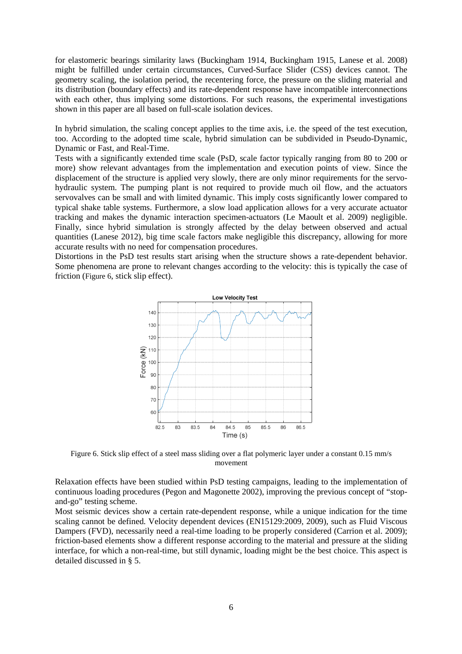for elastomeric bearings similarity laws (Buckingham 1914, Buckingham 1915, Lanese et al. 2008) might be fulfilled under certain circumstances, Curved-Surface Slider (CSS) devices cannot. The geometry scaling, the isolation period, the recentering force, the pressure on the sliding material and its distribution (boundary effects) and its rate-dependent response have incompatible interconnections with each other, thus implying some distortions. For such reasons, the experimental investigations shown in this paper are all based on full-scale isolation devices.

In hybrid simulation, the scaling concept applies to the time axis, i.e. the speed of the test execution, too. According to the adopted time scale, hybrid simulation can be subdivided in Pseudo-Dynamic, Dynamic or Fast, and Real-Time.

Tests with a significantly extended time scale (PsD, scale factor typically ranging from 80 to 200 or more) show relevant advantages from the implementation and execution points of view. Since the displacement of the structure is applied very slowly, there are only minor requirements for the servohydraulic system. The pumping plant is not required to provide much oil flow, and the actuators servovalves can be small and with limited dynamic. This imply costs significantly lower compared to typical shake table systems. Furthermore, a slow load application allows for a very accurate actuator tracking and makes the dynamic interaction specimen-actuators (Le Maoult et al. 2009) negligible. Finally, since hybrid simulation is strongly affected by the delay between observed and actual quantities (Lanese 2012), big time scale factors make negligible this discrepancy, allowing for more accurate results with no need for compensation procedures.

Distortions in the PsD test results start arising when the structure shows a rate-dependent behavior. Some phenomena are prone to relevant changes according to the velocity: this is typically the case of friction (Figure 6, stick slip effect).



Figure 6. Stick slip effect of a steel mass sliding over a flat polymeric layer under a constant 0.15 mm/s movement

Relaxation effects have been studied within PsD testing campaigns, leading to the implementation of continuous loading procedures (Pegon and Magonette 2002), improving the previous concept of "stopand-go" testing scheme.

Most seismic devices show a certain rate-dependent response, while a unique indication for the time scaling cannot be defined. Velocity dependent devices (EN15129:2009, 2009), such as Fluid Viscous Dampers (FVD), necessarily need a real-time loading to be properly considered (Carrion et al. 2009); friction-based elements show a different response according to the material and pressure at the sliding interface, for which a non-real-time, but still dynamic, loading might be the best choice. This aspect is detailed discussed in § 5.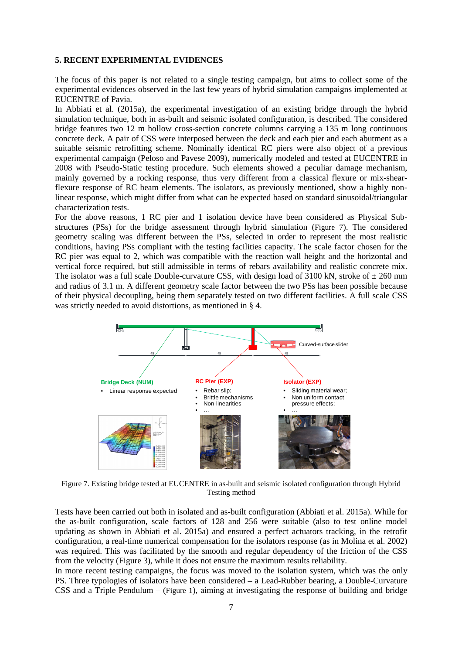# **5. RECENT EXPERIMENTAL EVIDENCES**

The focus of this paper is not related to a single testing campaign, but aims to collect some of the experimental evidences observed in the last few years of hybrid simulation campaigns implemented at EUCENTRE of Pavia.

In Abbiati et al. (2015a), the experimental investigation of an existing bridge through the hybrid simulation technique, both in as-built and seismic isolated configuration, is described. The considered bridge features two 12 m hollow cross-section concrete columns carrying a 135 m long continuous concrete deck. A pair of CSS were interposed between the deck and each pier and each abutment as a suitable seismic retrofitting scheme. Nominally identical RC piers were also object of a previous experimental campaign (Peloso and Pavese 2009), numerically modeled and tested at EUCENTRE in 2008 with Pseudo-Static testing procedure. Such elements showed a peculiar damage mechanism, mainly governed by a rocking response, thus very different from a classical flexure or mix-shearflexure response of RC beam elements. The isolators, as previously mentioned, show a highly nonlinear response, which might differ from what can be expected based on standard sinusoidal/triangular characterization tests.

For the above reasons, 1 RC pier and 1 isolation device have been considered as Physical Substructures (PSs) for the bridge assessment through hybrid simulation (Figure 7). The considered geometry scaling was different between the PSs, selected in order to represent the most realistic conditions, having PSs compliant with the testing facilities capacity. The scale factor chosen for the RC pier was equal to 2, which was compatible with the reaction wall height and the horizontal and vertical force required, but still admissible in terms of rebars availability and realistic concrete mix. The isolator was a full scale Double-curvature CSS, with design load of 3100 kN, stroke of  $\pm 260$  mm and radius of 3.1 m. A different geometry scale factor between the two PSs has been possible because of their physical decoupling, being them separately tested on two different facilities. A full scale CSS was strictly needed to avoid distortions, as mentioned in § 4.



Figure 7. Existing bridge tested at EUCENTRE in as-built and seismic isolated configuration through Hybrid Testing method

Tests have been carried out both in isolated and as-built configuration (Abbiati et al. 2015a). While for the as-built configuration, scale factors of 128 and 256 were suitable (also to test online model updating as shown in Abbiati et al. 2015a) and ensured a perfect actuators tracking, in the retrofit configuration, a real-time numerical compensation for the isolators response (as in Molina et al. 2002) was required. This was facilitated by the smooth and regular dependency of the friction of the CSS from the velocity (Figure 3), while it does not ensure the maximum results reliability.

In more recent testing campaigns, the focus was moved to the isolation system, which was the only PS. Three typologies of isolators have been considered – a Lead-Rubber bearing, a Double-Curvature CSS and a Triple Pendulum – (Figure 1), aiming at investigating the response of building and bridge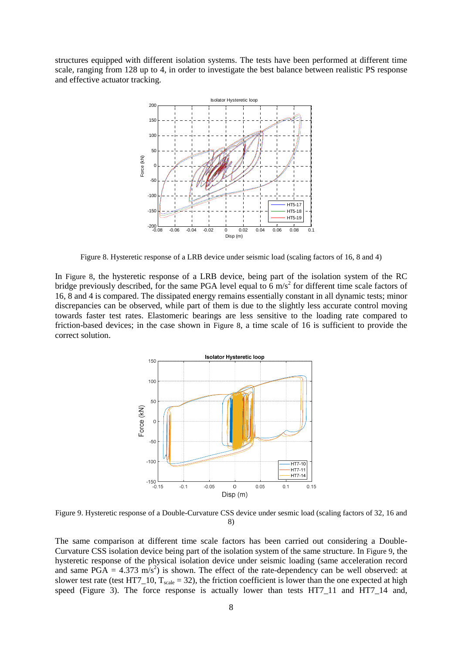structures equipped with different isolation systems. The tests have been performed at different time scale, ranging from 128 up to 4, in order to investigate the best balance between realistic PS response and effective actuator tracking.



Figure 8. Hysteretic response of a LRB device under seismic load (scaling factors of 16, 8 and 4)

In Figure 8, the hysteretic response of a LRB device, being part of the isolation system of the RC bridge previously described, for the same PGA level equal to  $6 \text{ m/s}^2$  for different time scale factors of 16, 8 and 4 is compared. The dissipated energy remains essentially constant in all dynamic tests; minor discrepancies can be observed, while part of them is due to the slightly less accurate control moving towards faster test rates. Elastomeric bearings are less sensitive to the loading rate compared to friction-based devices; in the case shown in Figure 8, a time scale of 16 is sufficient to provide the correct solution.



Figure 9. Hysteretic response of a Double-Curvature CSS device under sesmic load (scaling factors of 32, 16 and 8)

The same comparison at different time scale factors has been carried out considering a Double-Curvature CSS isolation device being part of the isolation system of the same structure. In Figure 9, the hysteretic response of the physical isolation device under seismic loading (same acceleration record and same PGA =  $4.373 \text{ m/s}^2$ ) is shown. The effect of the rate-dependency can be well observed: at slower test rate (test HT7\_10,  $T_{scale} = 32$ ), the friction coefficient is lower than the one expected at high speed (Figure 3). The force response is actually lower than tests HT7\_11 and HT7\_14 and,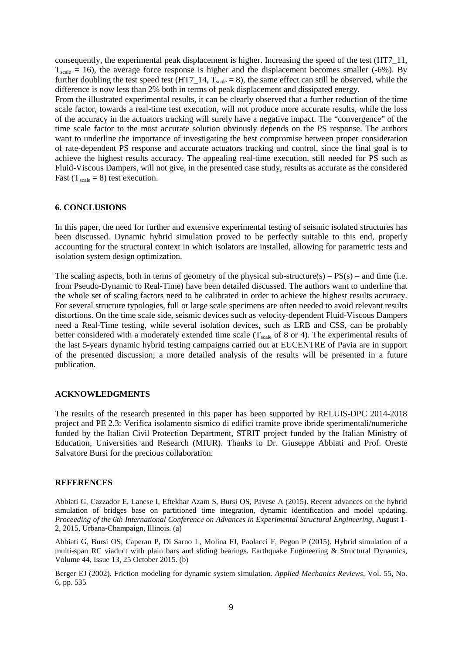consequently, the experimental peak displacement is higher. Increasing the speed of the test (HT7\_11,  $T_{scale} = 16$ ), the average force response is higher and the displacement becomes smaller (-6%). By further doubling the test speed test (HT7\_14,  $T_{scale} = 8$ ), the same effect can still be observed, while the difference is now less than 2% both in terms of peak displacement and dissipated energy.

From the illustrated experimental results, it can be clearly observed that a further reduction of the time scale factor, towards a real-time test execution, will not produce more accurate results, while the loss of the accuracy in the actuators tracking will surely have a negative impact. The "convergence" of the time scale factor to the most accurate solution obviously depends on the PS response. The authors want to underline the importance of investigating the best compromise between proper consideration of rate-dependent PS response and accurate actuators tracking and control, since the final goal is to achieve the highest results accuracy. The appealing real-time execution, still needed for PS such as Fluid-Viscous Dampers, will not give, in the presented case study, results as accurate as the considered Fast ( $T_{scale} = 8$ ) test execution.

#### **6. CONCLUSIONS**

In this paper, the need for further and extensive experimental testing of seismic isolated structures has been discussed. Dynamic hybrid simulation proved to be perfectly suitable to this end, properly accounting for the structural context in which isolators are installed, allowing for parametric tests and isolation system design optimization.

The scaling aspects, both in terms of geometry of the physical sub-structure(s) –  $PS(s)$  – and time (i.e. from Pseudo-Dynamic to Real-Time) have been detailed discussed. The authors want to underline that the whole set of scaling factors need to be calibrated in order to achieve the highest results accuracy. For several structure typologies, full or large scale specimens are often needed to avoid relevant results distortions. On the time scale side, seismic devices such as velocity-dependent Fluid-Viscous Dampers need a Real-Time testing, while several isolation devices, such as LRB and CSS, can be probably better considered with a moderately extended time scale  $(T_{scale}$  of 8 or 4). The experimental results of the last 5-years dynamic hybrid testing campaigns carried out at EUCENTRE of Pavia are in support of the presented discussion; a more detailed analysis of the results will be presented in a future publication.

#### **ACKNOWLEDGMENTS**

The results of the research presented in this paper has been supported by RELUIS-DPC 2014-2018 project and PE 2.3: Verifica isolamento sismico di edifici tramite prove ibride sperimentali/numeriche funded by the Italian Civil Protection Department, STRIT project funded by the Italian Ministry of Education, Universities and Research (MIUR). Thanks to Dr. Giuseppe Abbiati and Prof. Oreste Salvatore Bursi for the precious collaboration.

#### **REFERENCES**

Abbiati G, Cazzador E, Lanese I, Eftekhar Azam S, Bursi OS, Pavese A (2015). Recent advances on the hybrid simulation of bridges base on partitioned time integration, dynamic identification and model updating. *Proceeding of the 6th International Conference on Advances in Experimental Structural Engineering*, August 1- 2, 2015, Urbana-Champaign, Illinois. (a)

Abbiati G, Bursi OS, Caperan P, Di Sarno L, Molina FJ, Paolacci F, Pegon P (2015). Hybrid simulation of a multi-span RC viaduct with plain bars and sliding bearings. Earthquake Engineering & Structural Dynamics, Volume 44, Issue 13, 25 October 2015. (b)

Berger EJ (2002). Friction modeling for dynamic system simulation. *Applied Mechanics Reviews*, Vol. 55, No. 6, pp. 535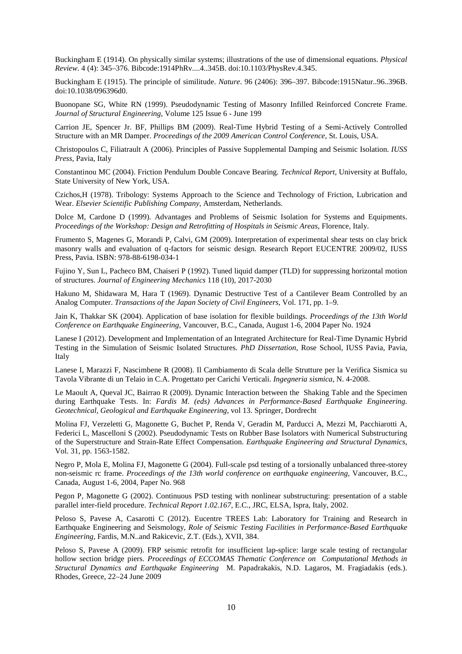Buckingham E (1914). On physically similar systems; illustrations of the use of dimensional equations. *Physical Review*. 4 (4): 345–376. Bibcode:1914PhRv....4..345B. doi:10.1103/PhysRev.4.345.

Buckingham E (1915). The principle of similitude. *Nature*. 96 (2406): 396–397. Bibcode:1915Natur..96..396B. doi:10.1038/096396d0.

Buonopane SG, White RN (1999). Pseudodynamic Testing of Masonry Infilled Reinforced Concrete Frame. *Journal of Structural Engineering*, Volume 125 Issue 6 - June 199

Carrion JE, Spencer Jr. BF, Phillips BM (2009). Real-Time Hybrid Testing of a Semi-Actively Controlled Structure with an MR Damper. *Proceedings of the 2009 American Control Conference*, St. Louis, USA.

Christopoulos C, Filiatrault A (2006). Principles of Passive Supplemental Damping and Seismic Isolation. *IUSS Press*, Pavia, Italy

Constantinou MC (2004). Friction Pendulum Double Concave Bearing. *Technical Report*, University at Buffalo, State University of New York, USA.

Czichos,H (1978). Tribology: Systems Approach to the Science and Technology of Friction, Lubrication and Wear. *Elsevier Scientific Publishing Company*, Amsterdam, Netherlands.

Dolce M, Cardone D (1999). Advantages and Problems of Seismic Isolation for Systems and Equipments. *Proceedings of the Workshop: Design and Retrofitting of Hospitals in Seismic Areas*, Florence, Italy.

Frumento S, Magenes G, Morandi P, Calvi, GM (2009). Interpretation of experimental shear tests on clay brick masonry walls and evaluation of q-factors for seismic design. Research Report EUCENTRE 2009/02, IUSS Press, Pavia. ISBN: 978-88-6198-034-1

Fujino Y, Sun L, Pacheco BM, Chaiseri P (1992). Tuned liquid damper (TLD) for suppressing horizontal motion of structures. *Journal of Engineering Mechanics* 118 (10), 2017-2030

Hakuno M, Shidawara M, Hara T (1969). Dynamic Destructive Test of a Cantilever Beam Controlled by an Analog Computer. *Transactions of the Japan Society of Civil Engineers*, Vol. 171, pp. 1–9.

Jain K, Thakkar SK (2004). Application of base isolation for flexible buildings. *Proceedings of the 13th World Conference on Earthquake Engineering*, Vancouver, B.C., Canada, August 1-6, 2004 Paper No. 1924

Lanese I (2012). Development and Implementation of an Integrated Architecture for Real-Time Dynamic Hybrid Testing in the Simulation of Seismic Isolated Structures. *PhD Dissertation*, Rose School, IUSS Pavia, Pavia, Italy

Lanese I, Marazzi F, Nascimbene R (2008). Il Cambiamento di Scala delle Strutture per la Verifica Sismica su Tavola Vibrante di un Telaio in C.A. Progettato per Carichi Verticali. *Ingegneria sismica*, N. 4-2008.

Le Maoult A, Queval JC, Bairrao R (2009). Dynamic Interaction between the Shaking Table and the Specimen during Earthquake Tests. In: *Fardis M. (eds) Advances in Performance-Based Earthquake Engineering. Geotechnical, Geological and Earthquake Engineering*, vol 13. Springer, Dordrecht

Molina FJ, Verzeletti G, Magonette G, Buchet P, Renda V, Geradin M, Parducci A, Mezzi M, Pacchiarotti A, Federici L, Mascelloni S (2002). Pseudodynamic Tests on Rubber Base Isolators with Numerical Substructuring of the Superstructure and Strain-Rate Effect Compensation. *Earthquake Engineering and Structural Dynamics*, Vol. 31, pp. 1563-1582.

Negro P, Mola E, Molina FJ, Magonette G (2004). Full-scale psd testing of a torsionally unbalanced three-storey non-seismic rc frame. *Proceedings of the 13th world conference on earthquake engineering,* Vancouver, B.C., Canada, August 1-6, 2004, Paper No. 968

Pegon P, Magonette G (2002). Continuous PSD testing with nonlinear substructuring: presentation of a stable parallel inter-field procedure. *Technical Report 1.02.167*, E.C., JRC, ELSA, Ispra, Italy, 2002.

Peloso S, Pavese A, Casarotti C (2012). Eucentre TREES Lab: Laboratory for Training and Research in Earthquake Engineering and Seismology, *Role of Seismic Testing Facilities in Performance-Based Earthquake Engineering*, Fardis, M.N..and Rakicevic, Z.T. (Eds.), XVII, 384.

Peloso S, Pavese A (2009). FRP seismic retrofit for insufficient lap-splice: large scale testing of rectangular hollow section bridge piers. *Proceedings of ECCOMAS Thematic Conference on Computational Methods in Structural Dynamics and Earthquake Engineering* M. Papadrakakis, N.D. Lagaros, M. Fragiadakis (eds.). Rhodes, Greece, 22–24 June 2009